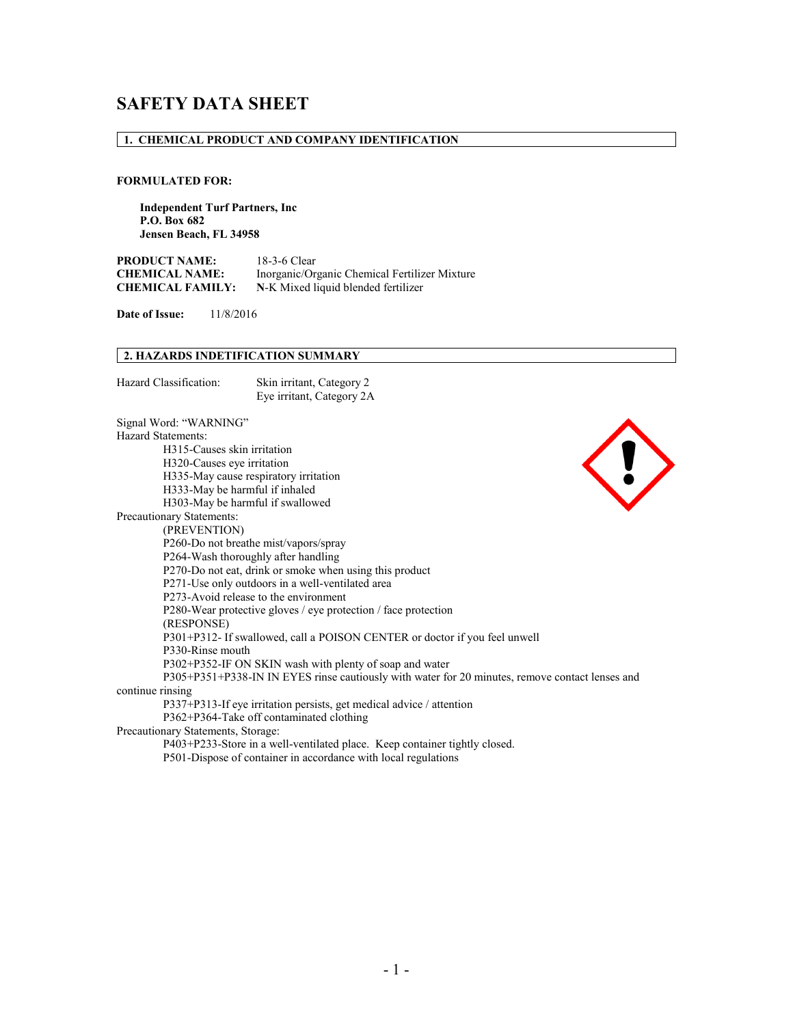# **SAFETY DATA SHEET**

### **1. CHEMICAL PRODUCT AND COMPANY IDENTIFICATION**

### **FORMULATED FOR:**

**Independent Turf Partners, Inc P.O. Box 682 Jensen Beach, FL 34958** 

**PRODUCT NAME:** 18-3-6 Clear<br> **CHEMICAL NAME:** Inorganic/Ors Inorganic/Organic Chemical Fertilizer Mixture **CHEMICAL FAMILY: N**-K Mixed liquid blended fertilizer

**Date of Issue:** 11/8/2016

### **2. HAZARDS INDETIFICATION SUMMARY**

| Hazard Classification: | Skin irritant, Category 2 |
|------------------------|---------------------------|
|                        | Eye irritant, Category 2A |

Signal Word: "WARNING" Hazard Statements: H315-Causes skin irritation H320-Causes eye irritation H335-May cause respiratory irritation H333-May be harmful if inhaled H303-May be harmful if swallowed Precautionary Statements:



(PREVENTION) P260-Do not breathe mist/vapors/spray P264-Wash thoroughly after handling P270-Do not eat, drink or smoke when using this product P271-Use only outdoors in a well-ventilated area P273-Avoid release to the environment P280-Wear protective gloves / eye protection / face protection (RESPONSE) P301+P312- If swallowed, call a POISON CENTER or doctor if you feel unwell P330-Rinse mouth P302+P352-IF ON SKIN wash with plenty of soap and water P305+P351+P338-IN IN EYES rinse cautiously with water for 20 minutes, remove contact lenses and continue rinsing P337+P313-If eye irritation persists, get medical advice / attention P362+P364-Take off contaminated clothing Precautionary Statements, Storage: P403+P233-Store in a well-ventilated place. Keep container tightly closed.

P501-Dispose of container in accordance with local regulations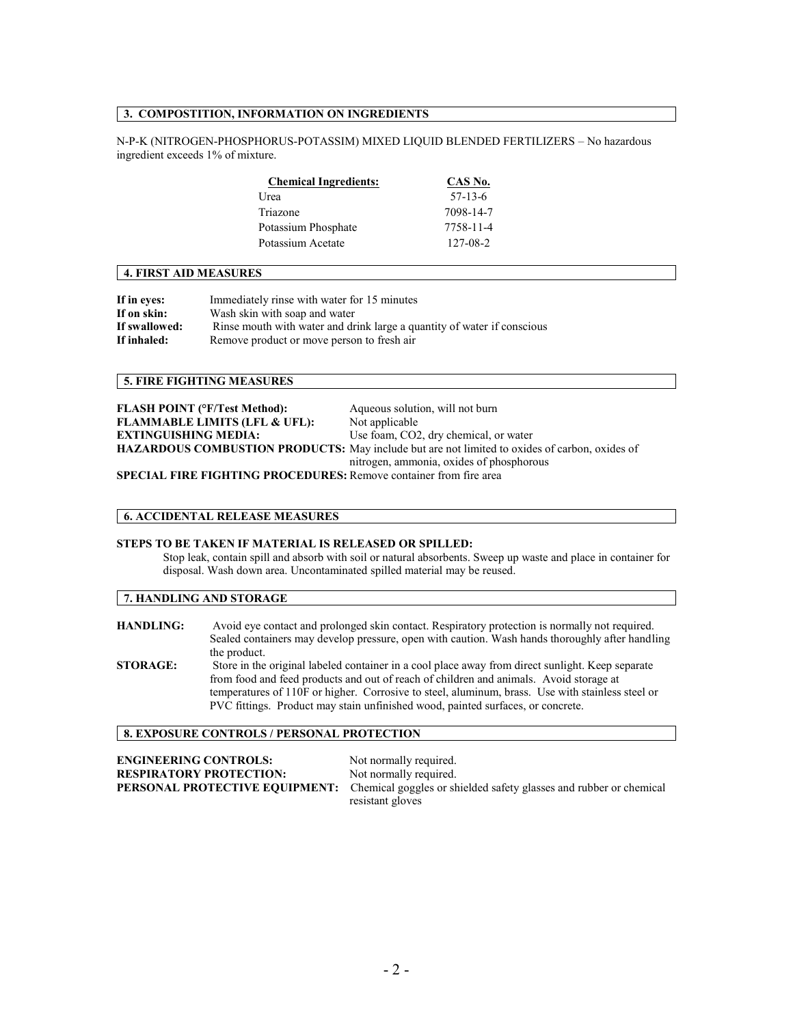# **3. COMPOSTITION, INFORMATION ON INGREDIENTS**

N-P-K (NITROGEN-PHOSPHORUS-POTASSIM) MIXED LIQUID BLENDED FERTILIZERS – No hazardous ingredient exceeds 1% of mixture.

| <b>Chemical Ingredients:</b> | CAS No.   |
|------------------------------|-----------|
| Urea                         | $57-13-6$ |
| Triazone                     | 7098-14-7 |
| Potassium Phosphate          | 7758-11-4 |
| Potassium Acetate            | 127-08-2  |

#### **4. FIRST AID MEASURES**

| If in eyes:   | Immediately rinse with water for 15 minutes                             |
|---------------|-------------------------------------------------------------------------|
| If on skin:   | Wash skin with soap and water                                           |
| If swallowed: | Rinse mouth with water and drink large a quantity of water if conscious |
| If inhaled:   | Remove product or move person to fresh air                              |

#### **5. FIRE FIGHTING MEASURES**

| <b>FLASH POINT (°F/Test Method):</b>                                     | Aqueous solution, will not burn                                                               |
|--------------------------------------------------------------------------|-----------------------------------------------------------------------------------------------|
| <b>FLAMMABLE LIMITS (LFL &amp; UFL):</b>                                 | Not applicable                                                                                |
| <b>EXTINGUISHING MEDIA:</b>                                              | Use foam, CO2, dry chemical, or water                                                         |
|                                                                          | HAZARDOUS COMBUSTION PRODUCTS: May include but are not limited to oxides of carbon, oxides of |
|                                                                          | nitrogen, ammonia, oxides of phosphorous                                                      |
| <b>SPECIAL FIRE FIGHTING PROCEDURES:</b> Remove container from fire area |                                                                                               |

**SPECIAL FIRE FIGHTING FIGURES:** Remove contai

#### **6. ACCIDENTAL RELEASE MEASURES**

# **STEPS TO BE TAKEN IF MATERIAL IS RELEASED OR SPILLED:**

Stop leak, contain spill and absorb with soil or natural absorbents. Sweep up waste and place in container for disposal. Wash down area. Uncontaminated spilled material may be reused.

**7. HANDLING AND STORAGE**

**HANDLING:** Avoid eye contact and prolonged skin contact. Respiratory protection is normally not required. Sealed containers may develop pressure, open with caution. Wash hands thoroughly after handling the product. **STORAGE:** Store in the original labeled container in a cool place away from direct sunlight. Keep separate from food and feed products and out of reach of children and animals. Avoid storage at temperatures of 110F or higher. Corrosive to steel, aluminum, brass. Use with stainless steel or PVC fittings. Product may stain unfinished wood, painted surfaces, or concrete.

## **8. EXPOSURE CONTROLS / PERSONAL PROTECTION**

**ENGINEERING CONTROLS:** Not normally required. **RESPIRATORY PROTECTION:** Not normally required. **PERSONAL PROTECTIVE EQUIPMENT:** Chemical goggles or shielded safety glasses and rubber or chemical resistant gloves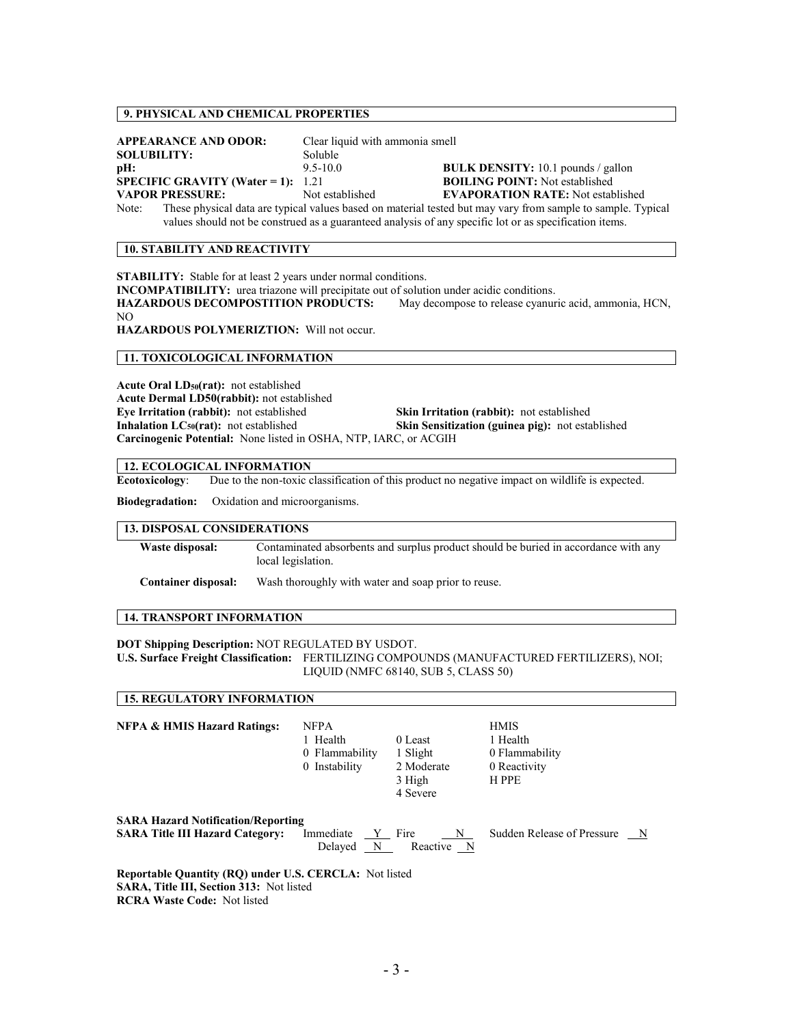# **9. PHYSICAL AND CHEMICAL PROPERTIES**

|                                                                                                        | <b>APPEARANCE AND ODOR:</b>               | Clear liquid with ammonia smell |                                                                                                             |
|--------------------------------------------------------------------------------------------------------|-------------------------------------------|---------------------------------|-------------------------------------------------------------------------------------------------------------|
| <b>SOLUBILITY:</b>                                                                                     |                                           | Soluble                         |                                                                                                             |
| pH:                                                                                                    |                                           | $9.5 - 10.0$                    | <b>BULK DENSITY:</b> 10.1 pounds / gallon                                                                   |
|                                                                                                        | <b>SPECIFIC GRAVITY (Water = 1):</b> 1.21 |                                 | <b>BOILING POINT:</b> Not established                                                                       |
|                                                                                                        | <b>VAPOR PRESSURE:</b>                    | Not established                 | <b>EVAPORATION RATE:</b> Not established                                                                    |
| Note:                                                                                                  |                                           |                                 | These physical data are typical values based on material tested but may vary from sample to sample. Typical |
| values should not be construed as a guaranteed analysis of any specific lot or as specification items. |                                           |                                 |                                                                                                             |

#### **10. STABILITY AND REACTIVITY**

**STABILITY:** Stable for at least 2 years under normal conditions.

**INCOMPATIBILITY:** urea triazone will precipitate out of solution under acidic conditions.

**HAZARDOUS DECOMPOSTITION PRODUCTS:** May decompose to release cyanuric acid, ammonia, HCN, NO

**HAZARDOUS POLYMERIZTION:** Will not occur.

### **11. TOXICOLOGICAL INFORMATION**

Acute Oral LD<sub>50</sub>(rat): not established **Acute Dermal LD50(rabbit):** not established **Eye Irritation (rabbit):** not established **Skin Irritation (rabbit):** not established **Inhalation LC<sub>50</sub>(rat):** not established **Skin Sensitization (guinea pig):** not established **Carcinogenic Potential:** None listed in OSHA, NTP, IARC, or ACGIH

### **12. ECOLOGICAL INFORMATION**

**Ecotoxicology**: Due to the non-toxic classification of this product no negative impact on wildlife is expected.

**Biodegradation:** Oxidation and microorganisms.

### **13. DISPOSAL CONSIDERATIONS**

| Waste disposal: | Contaminated absorbents and surplus product should be buried in accordance with any |
|-----------------|-------------------------------------------------------------------------------------|
|                 | local legislation.                                                                  |
|                 |                                                                                     |

**Container disposal:** Wash thoroughly with water and soap prior to reuse.

### **14. TRANSPORT INFORMATION**

**15. REGULATORY INFORMATION**

**DOT Shipping Description:** NOT REGULATED BY USDOT. **U.S. Surface Freight Classification:** FERTILIZING COMPOUNDS (MANUFACTURED FERTILIZERS), NOI; LIQUID (NMFC 68140, SUB 5, CLASS 50)

| <b>NFPA &amp; HMIS Hazard Ratings:</b>                                                                        | <b>NFPA</b><br>1 Health<br>0 Flammability<br>0 Instability | 0 Least<br>1 Slight<br>2 Moderate<br>3 High<br>4 Severe | <b>HMIS</b><br>1 Health<br>0 Flammability<br>0 Reactivity<br>H PPE |
|---------------------------------------------------------------------------------------------------------------|------------------------------------------------------------|---------------------------------------------------------|--------------------------------------------------------------------|
| <b>SARA Hazard Notification/Reporting</b><br><b>SARA Title III Hazard Category:</b>                           | Immediate<br>Y Fire<br>Delayed N                           | N<br>Reactive N                                         | Sudden Release of Pressure<br>$\mathbb N$                          |
| <b>Reportable Quantity (RQ) under U.S. CERCLA:</b> Not listed<br><b>CADA THE HILL Coation 212.</b> Meditional |                                                            |                                                         |                                                                    |

**SARA, Title III, Section 313:** Not listed **RCRA Waste Code:** Not listed